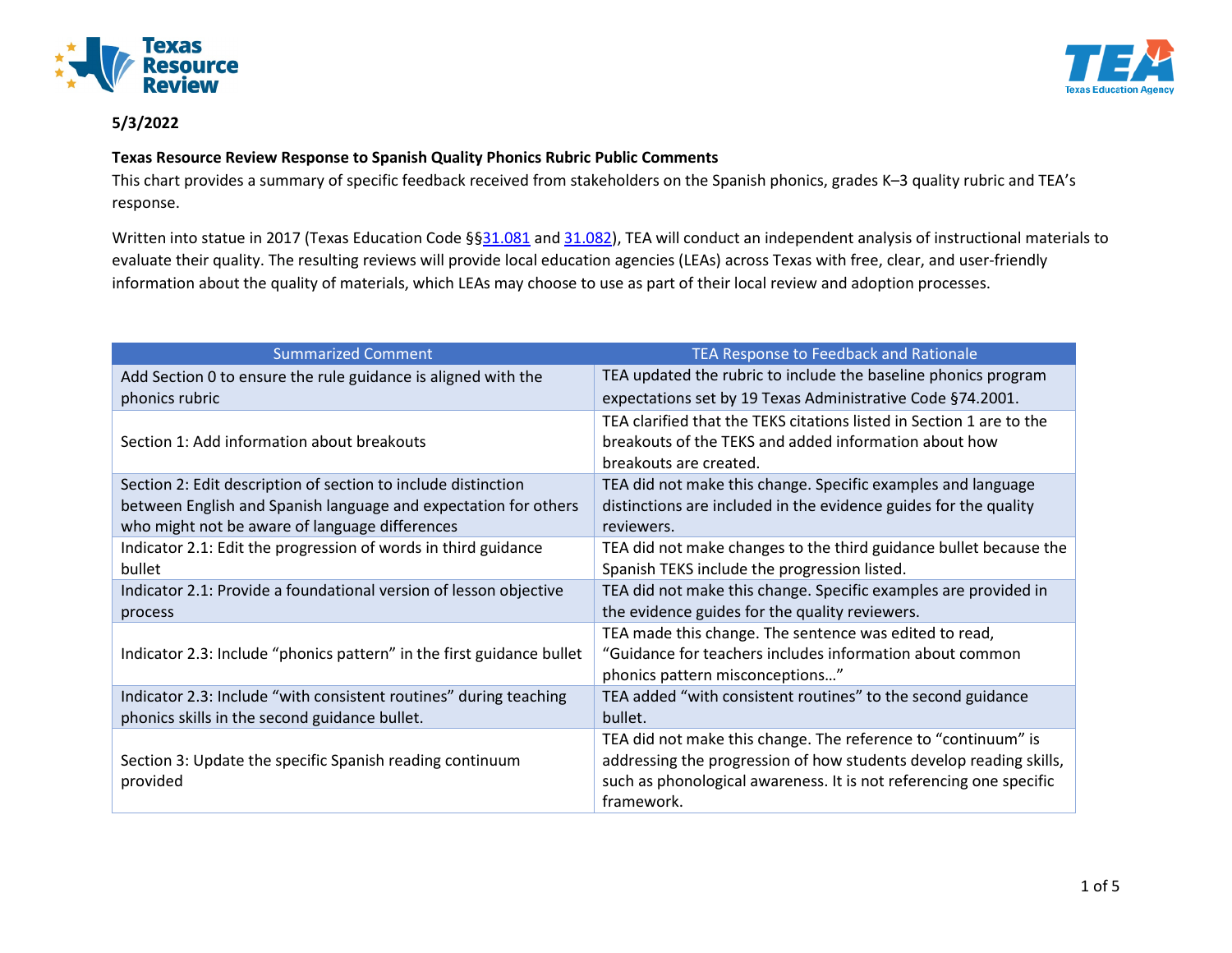



## **Texas Resource Review Response to Spanish Quality Phonics Rubric Public Comments**

This chart provides a summary of specific feedback received from stakeholders on the Spanish phonics, grades K–3 quality rubric and TEA's response.

Written into statue in 2017 (Texas Education Code §[§31.081](https://statutes.capitol.texas.gov/Docs/ED/htm/ED.31.htm#31.081) an[d 31.082\)](https://statutes.capitol.texas.gov/Docs/ED/htm/ED.31.htm#31.082), TEA will conduct an independent analysis of instructional materials to evaluate their quality. The resulting reviews will provide local education agencies (LEAs) across Texas with free, clear, and user-friendly information about the quality of materials, which LEAs may choose to use as part of their local review and adoption processes.

| <b>Summarized Comment</b>                                             | TEA Response to Feedback and Rationale                                                                                                                                                                                  |
|-----------------------------------------------------------------------|-------------------------------------------------------------------------------------------------------------------------------------------------------------------------------------------------------------------------|
| Add Section 0 to ensure the rule guidance is aligned with the         | TEA updated the rubric to include the baseline phonics program                                                                                                                                                          |
| phonics rubric                                                        | expectations set by 19 Texas Administrative Code §74.2001.                                                                                                                                                              |
| Section 1: Add information about breakouts                            | TEA clarified that the TEKS citations listed in Section 1 are to the<br>breakouts of the TEKS and added information about how<br>breakouts are created.                                                                 |
| Section 2: Edit description of section to include distinction         | TEA did not make this change. Specific examples and language                                                                                                                                                            |
| between English and Spanish language and expectation for others       | distinctions are included in the evidence guides for the quality                                                                                                                                                        |
| who might not be aware of language differences                        | reviewers.                                                                                                                                                                                                              |
| Indicator 2.1: Edit the progression of words in third guidance        | TEA did not make changes to the third guidance bullet because the                                                                                                                                                       |
| bullet                                                                | Spanish TEKS include the progression listed.                                                                                                                                                                            |
| Indicator 2.1: Provide a foundational version of lesson objective     | TEA did not make this change. Specific examples are provided in                                                                                                                                                         |
| process                                                               | the evidence guides for the quality reviewers.                                                                                                                                                                          |
| Indicator 2.3: Include "phonics pattern" in the first guidance bullet | TEA made this change. The sentence was edited to read,<br>"Guidance for teachers includes information about common<br>phonics pattern misconceptions"                                                                   |
| Indicator 2.3: Include "with consistent routines" during teaching     | TEA added "with consistent routines" to the second guidance                                                                                                                                                             |
| phonics skills in the second guidance bullet.                         | bullet.                                                                                                                                                                                                                 |
| Section 3: Update the specific Spanish reading continuum<br>provided  | TEA did not make this change. The reference to "continuum" is<br>addressing the progression of how students develop reading skills,<br>such as phonological awareness. It is not referencing one specific<br>framework. |

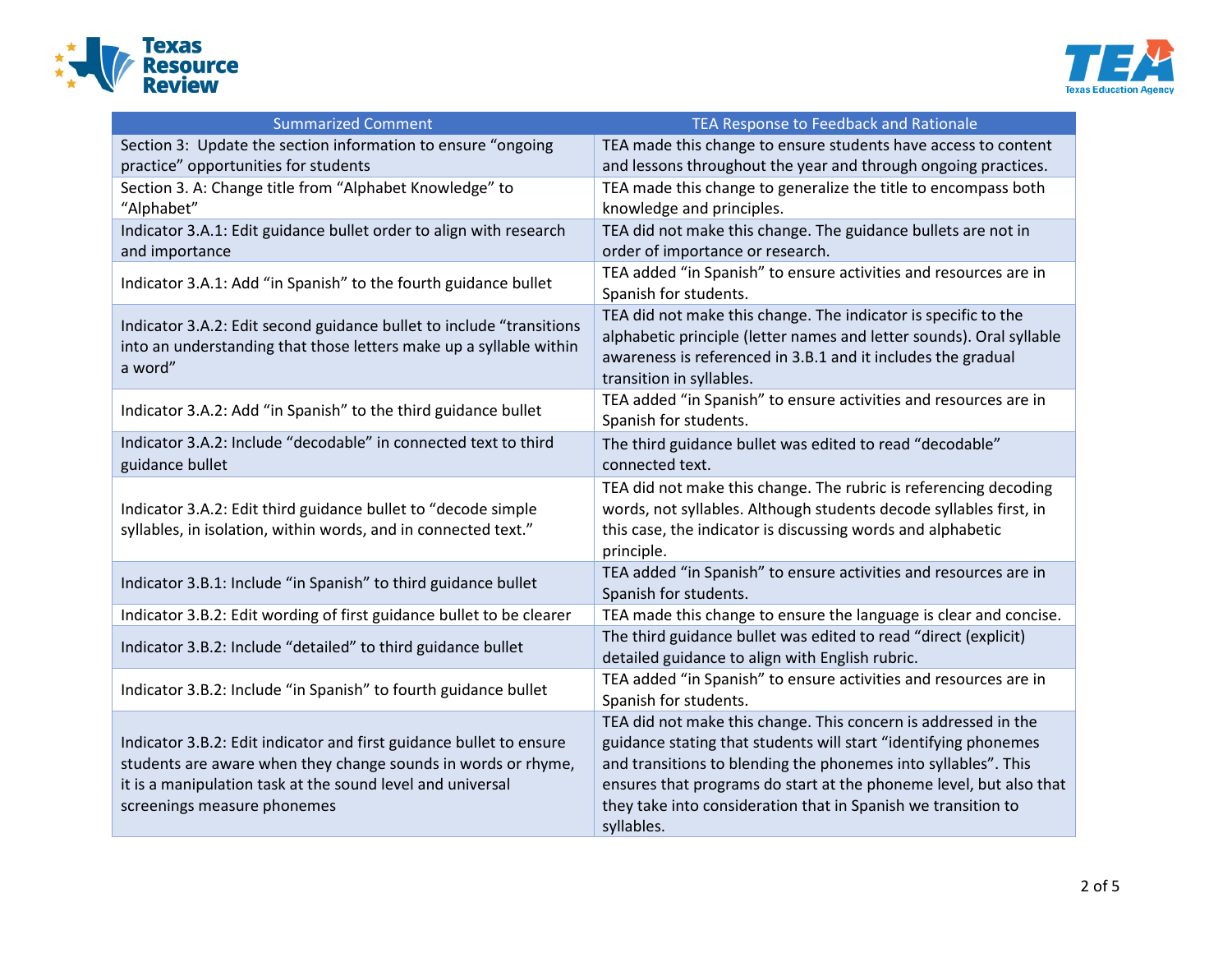



| <b>Summarized Comment</b>                                                                                                                                                                                                         | TEA Response to Feedback and Rationale                                                                                                                                                                                                                                                                                                                   |
|-----------------------------------------------------------------------------------------------------------------------------------------------------------------------------------------------------------------------------------|----------------------------------------------------------------------------------------------------------------------------------------------------------------------------------------------------------------------------------------------------------------------------------------------------------------------------------------------------------|
| Section 3: Update the section information to ensure "ongoing<br>practice" opportunities for students                                                                                                                              | TEA made this change to ensure students have access to content<br>and lessons throughout the year and through ongoing practices.                                                                                                                                                                                                                         |
| Section 3. A: Change title from "Alphabet Knowledge" to<br>"Alphabet"                                                                                                                                                             | TEA made this change to generalize the title to encompass both<br>knowledge and principles.                                                                                                                                                                                                                                                              |
| Indicator 3.A.1: Edit guidance bullet order to align with research<br>and importance                                                                                                                                              | TEA did not make this change. The guidance bullets are not in<br>order of importance or research.                                                                                                                                                                                                                                                        |
| Indicator 3.A.1: Add "in Spanish" to the fourth guidance bullet                                                                                                                                                                   | TEA added "in Spanish" to ensure activities and resources are in<br>Spanish for students.                                                                                                                                                                                                                                                                |
| Indicator 3.A.2: Edit second guidance bullet to include "transitions<br>into an understanding that those letters make up a syllable within<br>a word"                                                                             | TEA did not make this change. The indicator is specific to the<br>alphabetic principle (letter names and letter sounds). Oral syllable<br>awareness is referenced in 3.B.1 and it includes the gradual<br>transition in syllables.                                                                                                                       |
| Indicator 3.A.2: Add "in Spanish" to the third guidance bullet                                                                                                                                                                    | TEA added "in Spanish" to ensure activities and resources are in<br>Spanish for students.                                                                                                                                                                                                                                                                |
| Indicator 3.A.2: Include "decodable" in connected text to third<br>guidance bullet                                                                                                                                                | The third guidance bullet was edited to read "decodable"<br>connected text.                                                                                                                                                                                                                                                                              |
| Indicator 3.A.2: Edit third guidance bullet to "decode simple<br>syllables, in isolation, within words, and in connected text."                                                                                                   | TEA did not make this change. The rubric is referencing decoding<br>words, not syllables. Although students decode syllables first, in<br>this case, the indicator is discussing words and alphabetic<br>principle.                                                                                                                                      |
| Indicator 3.B.1: Include "in Spanish" to third guidance bullet                                                                                                                                                                    | TEA added "in Spanish" to ensure activities and resources are in<br>Spanish for students.                                                                                                                                                                                                                                                                |
| Indicator 3.B.2: Edit wording of first guidance bullet to be clearer                                                                                                                                                              | TEA made this change to ensure the language is clear and concise.                                                                                                                                                                                                                                                                                        |
| Indicator 3.B.2: Include "detailed" to third guidance bullet                                                                                                                                                                      | The third guidance bullet was edited to read "direct (explicit)<br>detailed guidance to align with English rubric.                                                                                                                                                                                                                                       |
| Indicator 3.B.2: Include "in Spanish" to fourth guidance bullet                                                                                                                                                                   | TEA added "in Spanish" to ensure activities and resources are in<br>Spanish for students.                                                                                                                                                                                                                                                                |
| Indicator 3.B.2: Edit indicator and first guidance bullet to ensure<br>students are aware when they change sounds in words or rhyme,<br>it is a manipulation task at the sound level and universal<br>screenings measure phonemes | TEA did not make this change. This concern is addressed in the<br>guidance stating that students will start "identifying phonemes<br>and transitions to blending the phonemes into syllables". This<br>ensures that programs do start at the phoneme level, but also that<br>they take into consideration that in Spanish we transition to<br>syllables. |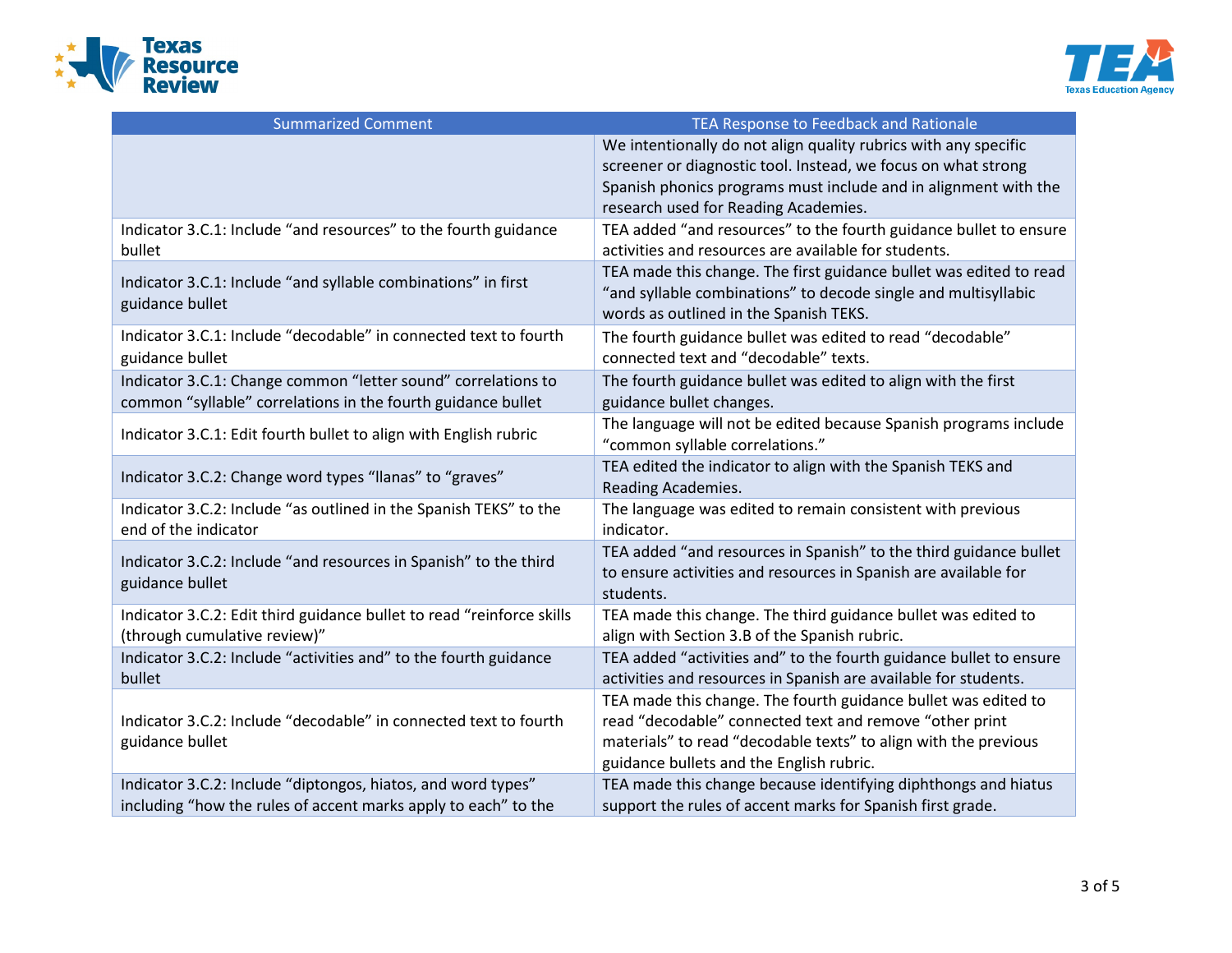



| <b>Summarized Comment</b>                                             | TEA Response to Feedback and Rationale                             |
|-----------------------------------------------------------------------|--------------------------------------------------------------------|
|                                                                       | We intentionally do not align quality rubrics with any specific    |
|                                                                       | screener or diagnostic tool. Instead, we focus on what strong      |
|                                                                       | Spanish phonics programs must include and in alignment with the    |
|                                                                       | research used for Reading Academies.                               |
| Indicator 3.C.1: Include "and resources" to the fourth guidance       | TEA added "and resources" to the fourth guidance bullet to ensure  |
| bullet                                                                | activities and resources are available for students.               |
| Indicator 3.C.1: Include "and syllable combinations" in first         | TEA made this change. The first guidance bullet was edited to read |
| guidance bullet                                                       | "and syllable combinations" to decode single and multisyllabic     |
|                                                                       | words as outlined in the Spanish TEKS.                             |
| Indicator 3.C.1: Include "decodable" in connected text to fourth      | The fourth guidance bullet was edited to read "decodable"          |
| guidance bullet                                                       | connected text and "decodable" texts.                              |
| Indicator 3.C.1: Change common "letter sound" correlations to         | The fourth guidance bullet was edited to align with the first      |
| common "syllable" correlations in the fourth guidance bullet          | guidance bullet changes.                                           |
|                                                                       | The language will not be edited because Spanish programs include   |
| Indicator 3.C.1: Edit fourth bullet to align with English rubric      | "common syllable correlations."                                    |
| Indicator 3.C.2: Change word types "Ilanas" to "graves"               | TEA edited the indicator to align with the Spanish TEKS and        |
|                                                                       | Reading Academies.                                                 |
| Indicator 3.C.2: Include "as outlined in the Spanish TEKS" to the     | The language was edited to remain consistent with previous         |
| end of the indicator                                                  | indicator.                                                         |
| Indicator 3.C.2: Include "and resources in Spanish" to the third      | TEA added "and resources in Spanish" to the third guidance bullet  |
| guidance bullet                                                       | to ensure activities and resources in Spanish are available for    |
|                                                                       | students.                                                          |
| Indicator 3.C.2: Edit third guidance bullet to read "reinforce skills | TEA made this change. The third guidance bullet was edited to      |
| (through cumulative review)"                                          | align with Section 3.B of the Spanish rubric.                      |
| Indicator 3.C.2: Include "activities and" to the fourth guidance      | TEA added "activities and" to the fourth guidance bullet to ensure |
| bullet                                                                | activities and resources in Spanish are available for students.    |
|                                                                       | TEA made this change. The fourth guidance bullet was edited to     |
| Indicator 3.C.2: Include "decodable" in connected text to fourth      | read "decodable" connected text and remove "other print            |
| guidance bullet                                                       | materials" to read "decodable texts" to align with the previous    |
|                                                                       | guidance bullets and the English rubric.                           |
| Indicator 3.C.2: Include "diptongos, hiatos, and word types"          | TEA made this change because identifying diphthongs and hiatus     |
| including "how the rules of accent marks apply to each" to the        | support the rules of accent marks for Spanish first grade.         |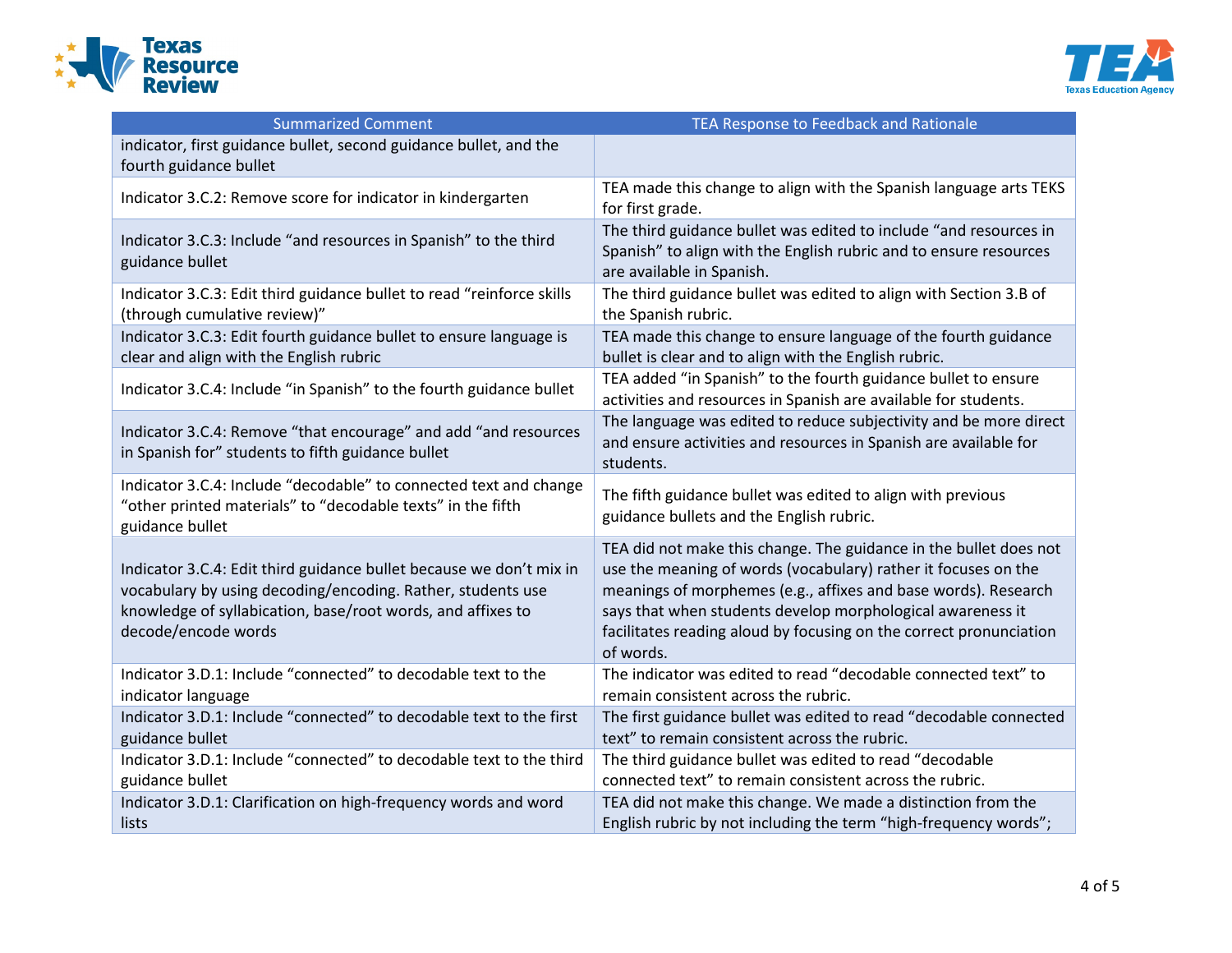



| <b>Summarized Comment</b>                                                                                                                                                                                                | TEA Response to Feedback and Rationale                                                                                                                                                                                                                                                                                                                 |
|--------------------------------------------------------------------------------------------------------------------------------------------------------------------------------------------------------------------------|--------------------------------------------------------------------------------------------------------------------------------------------------------------------------------------------------------------------------------------------------------------------------------------------------------------------------------------------------------|
| indicator, first guidance bullet, second guidance bullet, and the<br>fourth guidance bullet                                                                                                                              |                                                                                                                                                                                                                                                                                                                                                        |
| Indicator 3.C.2: Remove score for indicator in kindergarten                                                                                                                                                              | TEA made this change to align with the Spanish language arts TEKS<br>for first grade.                                                                                                                                                                                                                                                                  |
| Indicator 3.C.3: Include "and resources in Spanish" to the third<br>guidance bullet                                                                                                                                      | The third guidance bullet was edited to include "and resources in<br>Spanish" to align with the English rubric and to ensure resources<br>are available in Spanish.                                                                                                                                                                                    |
| Indicator 3.C.3: Edit third guidance bullet to read "reinforce skills<br>(through cumulative review)"                                                                                                                    | The third guidance bullet was edited to align with Section 3.B of<br>the Spanish rubric.                                                                                                                                                                                                                                                               |
| Indicator 3.C.3: Edit fourth guidance bullet to ensure language is<br>clear and align with the English rubric                                                                                                            | TEA made this change to ensure language of the fourth guidance<br>bullet is clear and to align with the English rubric.                                                                                                                                                                                                                                |
| Indicator 3.C.4: Include "in Spanish" to the fourth guidance bullet                                                                                                                                                      | TEA added "in Spanish" to the fourth guidance bullet to ensure<br>activities and resources in Spanish are available for students.                                                                                                                                                                                                                      |
| Indicator 3.C.4: Remove "that encourage" and add "and resources<br>in Spanish for" students to fifth guidance bullet                                                                                                     | The language was edited to reduce subjectivity and be more direct<br>and ensure activities and resources in Spanish are available for<br>students.                                                                                                                                                                                                     |
| Indicator 3.C.4: Include "decodable" to connected text and change<br>"other printed materials" to "decodable texts" in the fifth<br>guidance bullet                                                                      | The fifth guidance bullet was edited to align with previous<br>guidance bullets and the English rubric.                                                                                                                                                                                                                                                |
| Indicator 3.C.4: Edit third guidance bullet because we don't mix in<br>vocabulary by using decoding/encoding. Rather, students use<br>knowledge of syllabication, base/root words, and affixes to<br>decode/encode words | TEA did not make this change. The guidance in the bullet does not<br>use the meaning of words (vocabulary) rather it focuses on the<br>meanings of morphemes (e.g., affixes and base words). Research<br>says that when students develop morphological awareness it<br>facilitates reading aloud by focusing on the correct pronunciation<br>of words. |
| Indicator 3.D.1: Include "connected" to decodable text to the<br>indicator language                                                                                                                                      | The indicator was edited to read "decodable connected text" to<br>remain consistent across the rubric.                                                                                                                                                                                                                                                 |
| Indicator 3.D.1: Include "connected" to decodable text to the first<br>guidance bullet                                                                                                                                   | The first guidance bullet was edited to read "decodable connected<br>text" to remain consistent across the rubric.                                                                                                                                                                                                                                     |
| Indicator 3.D.1: Include "connected" to decodable text to the third<br>guidance bullet                                                                                                                                   | The third guidance bullet was edited to read "decodable<br>connected text" to remain consistent across the rubric.                                                                                                                                                                                                                                     |
| Indicator 3.D.1: Clarification on high-frequency words and word<br>lists                                                                                                                                                 | TEA did not make this change. We made a distinction from the<br>English rubric by not including the term "high-frequency words";                                                                                                                                                                                                                       |